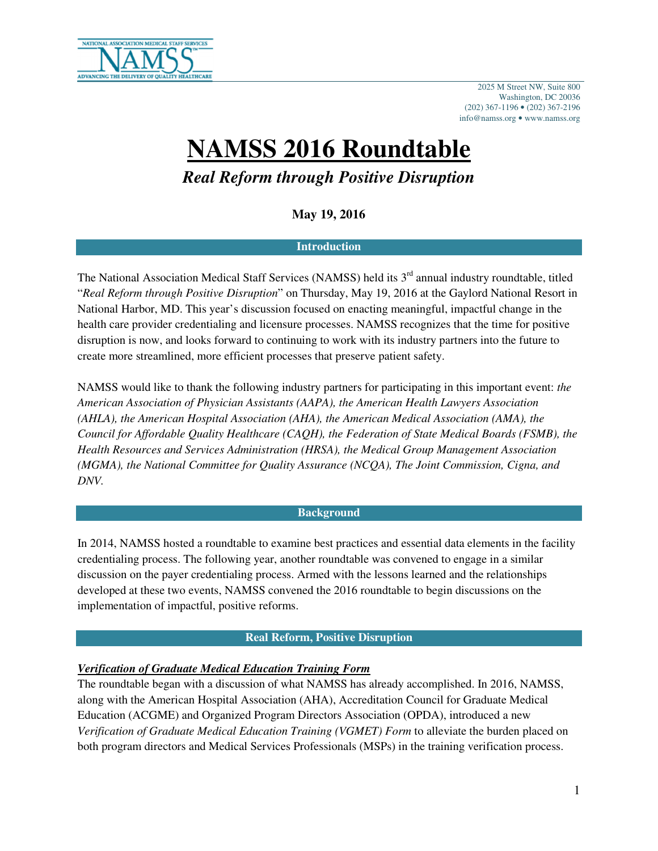

2025 M Street NW, Suite 800 Washington, DC 20036 (202) 367-1196 • (202) 367-2196 info@namss.org • www.namss.org

# **NAMSS 2016 Roundtable**

*Real Reform through Positive Disruption* 

**May 19, 2016** 

#### **Introduction**

The National Association Medical Staff Services (NAMSS) held its 3<sup>rd</sup> annual industry roundtable, titled "*Real Reform through Positive Disruption*" on Thursday, May 19, 2016 at the Gaylord National Resort in National Harbor, MD. This year's discussion focused on enacting meaningful, impactful change in the health care provider credentialing and licensure processes. NAMSS recognizes that the time for positive disruption is now, and looks forward to continuing to work with its industry partners into the future to create more streamlined, more efficient processes that preserve patient safety.

NAMSS would like to thank the following industry partners for participating in this important event: *the American Association of Physician Assistants (AAPA), the American Health Lawyers Association (AHLA), the American Hospital Association (AHA), the American Medical Association (AMA), the Council for Affordable Quality Healthcare (CAQH), the Federation of State Medical Boards (FSMB), the Health Resources and Services Administration (HRSA), the Medical Group Management Association (MGMA), the National Committee for Quality Assurance (NCQA), The Joint Commission, Cigna, and DNV.* 

#### **Background**

In 2014, NAMSS hosted a roundtable to examine best practices and essential data elements in the facility credentialing process. The following year, another roundtable was convened to engage in a similar discussion on the payer credentialing process. Armed with the lessons learned and the relationships developed at these two events, NAMSS convened the 2016 roundtable to begin discussions on the implementation of impactful, positive reforms.

### **Real Reform, Positive Disruption**

## *Verification of Graduate Medical Education Training Form*

The roundtable began with a discussion of what NAMSS has already accomplished. In 2016, NAMSS, along with the American Hospital Association (AHA), Accreditation Council for Graduate Medical Education (ACGME) and Organized Program Directors Association (OPDA), introduced a new *Verification of Graduate Medical Education Training (VGMET) Form* to alleviate the burden placed on both program directors and Medical Services Professionals (MSPs) in the training verification process.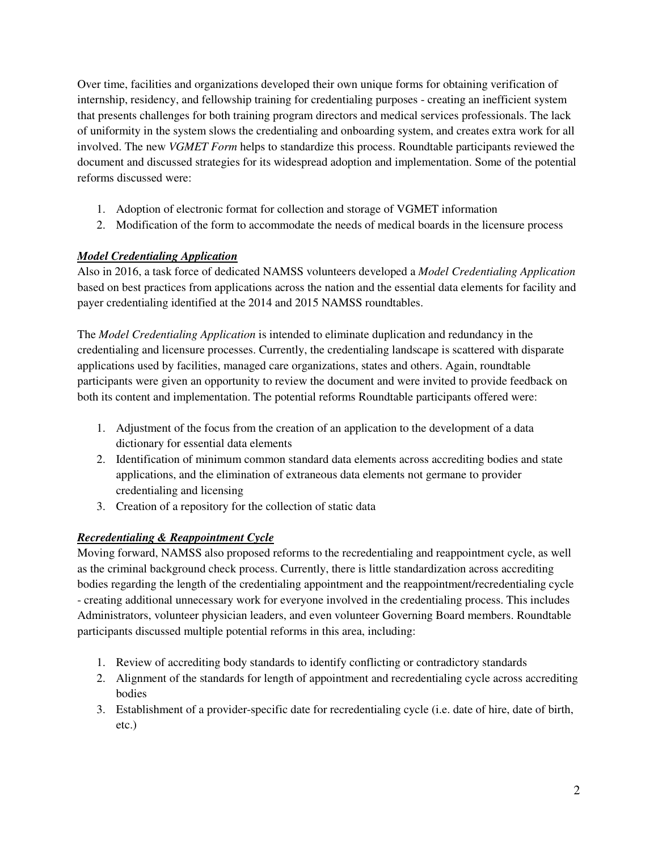Over time, facilities and organizations developed their own unique forms for obtaining verification of internship, residency, and fellowship training for credentialing purposes - creating an inefficient system that presents challenges for both training program directors and medical services professionals. The lack of uniformity in the system slows the credentialing and onboarding system, and creates extra work for all involved. The new *VGMET Form* helps to standardize this process. Roundtable participants reviewed the document and discussed strategies for its widespread adoption and implementation. Some of the potential reforms discussed were:

- 1. Adoption of electronic format for collection and storage of VGMET information
- 2. Modification of the form to accommodate the needs of medical boards in the licensure process

## *Model Credentialing Application*

Also in 2016, a task force of dedicated NAMSS volunteers developed a *Model Credentialing Application* based on best practices from applications across the nation and the essential data elements for facility and payer credentialing identified at the 2014 and 2015 NAMSS roundtables.

The *Model Credentialing Application* is intended to eliminate duplication and redundancy in the credentialing and licensure processes. Currently, the credentialing landscape is scattered with disparate applications used by facilities, managed care organizations, states and others. Again, roundtable participants were given an opportunity to review the document and were invited to provide feedback on both its content and implementation. The potential reforms Roundtable participants offered were:

- 1. Adjustment of the focus from the creation of an application to the development of a data dictionary for essential data elements
- 2. Identification of minimum common standard data elements across accrediting bodies and state applications, and the elimination of extraneous data elements not germane to provider credentialing and licensing
- 3. Creation of a repository for the collection of static data

# *Recredentialing & Reappointment Cycle*

Moving forward, NAMSS also proposed reforms to the recredentialing and reappointment cycle, as well as the criminal background check process. Currently, there is little standardization across accrediting bodies regarding the length of the credentialing appointment and the reappointment/recredentialing cycle - creating additional unnecessary work for everyone involved in the credentialing process. This includes Administrators, volunteer physician leaders, and even volunteer Governing Board members. Roundtable participants discussed multiple potential reforms in this area, including:

- 1. Review of accrediting body standards to identify conflicting or contradictory standards
- 2. Alignment of the standards for length of appointment and recredentialing cycle across accrediting bodies
- 3. Establishment of a provider-specific date for recredentialing cycle (i.e. date of hire, date of birth, etc.)